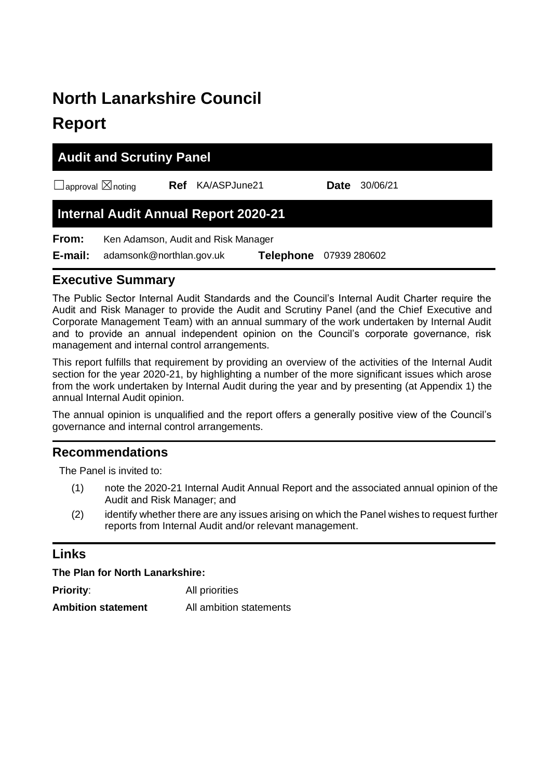# **North Lanarkshire Council Report**

|                                    | <b>Audit and Scrutiny Panel</b>             |              |                  |             |              |  |
|------------------------------------|---------------------------------------------|--------------|------------------|-------------|--------------|--|
| $\Box$ approval $\boxtimes$ noting | Ref                                         | KA/ASPJune21 |                  | <b>Date</b> | 30/06/21     |  |
|                                    | <b>Internal Audit Annual Report 2020-21</b> |              |                  |             |              |  |
| From:                              | Ken Adamson, Audit and Risk Manager         |              |                  |             |              |  |
| E-mail:                            | adamsonk@northlan.gov.uk                    |              | <b>Telephone</b> |             | 07939 280602 |  |

## **Executive Summary**

The Public Sector Internal Audit Standards and the Council's Internal Audit Charter require the Audit and Risk Manager to provide the Audit and Scrutiny Panel (and the Chief Executive and Corporate Management Team) with an annual summary of the work undertaken by Internal Audit and to provide an annual independent opinion on the Council's corporate governance, risk management and internal control arrangements.

This report fulfills that requirement by providing an overview of the activities of the Internal Audit section for the year 2020-21, by highlighting a number of the more significant issues which arose from the work undertaken by Internal Audit during the year and by presenting (at Appendix 1) the annual Internal Audit opinion.

The annual opinion is unqualified and the report offers a generally positive view of the Council's governance and internal control arrangements.

## **Recommendations**

The Panel is invited to:

- (1) note the 2020-21 Internal Audit Annual Report and the associated annual opinion of the Audit and Risk Manager; and
- (2) identify whether there are any issues arising on which the Panel wishes to request further reports from Internal Audit and/or relevant management.

## **Links**

**The Plan for North Lanarkshire:**

| <b>Priority:</b>          | All priorities          |
|---------------------------|-------------------------|
| <b>Ambition statement</b> | All ambition statements |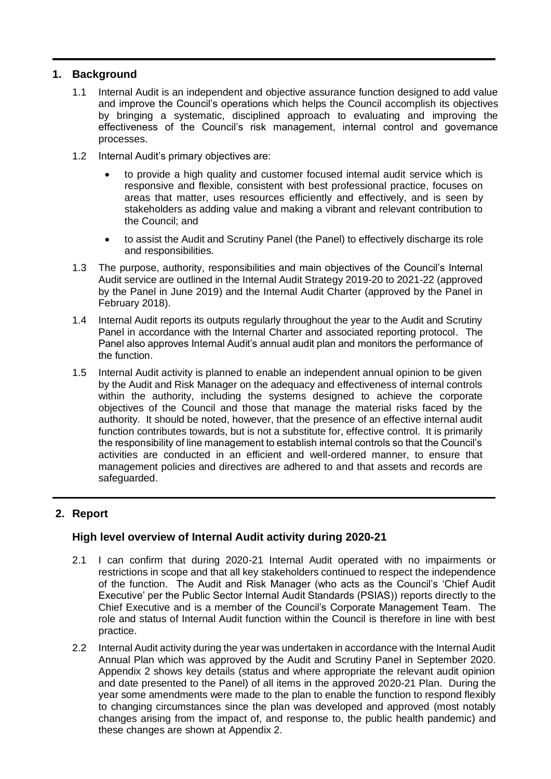## **1. Background**

- 1.1 Internal Audit is an independent and objective assurance function designed to add value and improve the Council's operations which helps the Council accomplish its objectives by bringing a systematic, disciplined approach to evaluating and improving the effectiveness of the Council's risk management, internal control and governance processes.
- 1.2 Internal Audit's primary objectives are:
	- to provide a high quality and customer focused internal audit service which is responsive and flexible, consistent with best professional practice, focuses on areas that matter, uses resources efficiently and effectively, and is seen by stakeholders as adding value and making a vibrant and relevant contribution to the Council; and
	- to assist the Audit and Scrutiny Panel (the Panel) to effectively discharge its role and responsibilities.
- 1.3 The purpose, authority, responsibilities and main objectives of the Council's Internal Audit service are outlined in the Internal Audit Strategy 2019-20 to 2021-22 (approved by the Panel in June 2019) and the Internal Audit Charter (approved by the Panel in February 2018).
- 1.4 Internal Audit reports its outputs regularly throughout the year to the Audit and Scrutiny Panel in accordance with the Internal Charter and associated reporting protocol. The Panel also approves Internal Audit's annual audit plan and monitors the performance of the function.
- 1.5 Internal Audit activity is planned to enable an independent annual opinion to be given by the Audit and Risk Manager on the adequacy and effectiveness of internal controls within the authority, including the systems designed to achieve the corporate objectives of the Council and those that manage the material risks faced by the authority. It should be noted, however, that the presence of an effective internal audit function contributes towards, but is not a substitute for, effective control. It is primarily the responsibility of line management to establish internal controls so that the Council's activities are conducted in an efficient and well-ordered manner, to ensure that management policies and directives are adhered to and that assets and records are safeguarded.

## **2. Report**

## **High level overview of Internal Audit activity during 2020-21**

- 2.1 I can confirm that during 2020-21 Internal Audit operated with no impairments or restrictions in scope and that all key stakeholders continued to respect the independence of the function. The Audit and Risk Manager (who acts as the Council's 'Chief Audit Executive' per the Public Sector Internal Audit Standards (PSIAS)) reports directly to the Chief Executive and is a member of the Council's Corporate Management Team. The role and status of Internal Audit function within the Council is therefore in line with best practice.
- 2.2 Internal Audit activity during the year was undertaken in accordance with the Internal Audit Annual Plan which was approved by the Audit and Scrutiny Panel in September 2020. Appendix 2 shows key details (status and where appropriate the relevant audit opinion and date presented to the Panel) of all items in the approved 2020-21 Plan. During the year some amendments were made to the plan to enable the function to respond flexibly to changing circumstances since the plan was developed and approved (most notably changes arising from the impact of, and response to, the public health pandemic) and these changes are shown at Appendix 2.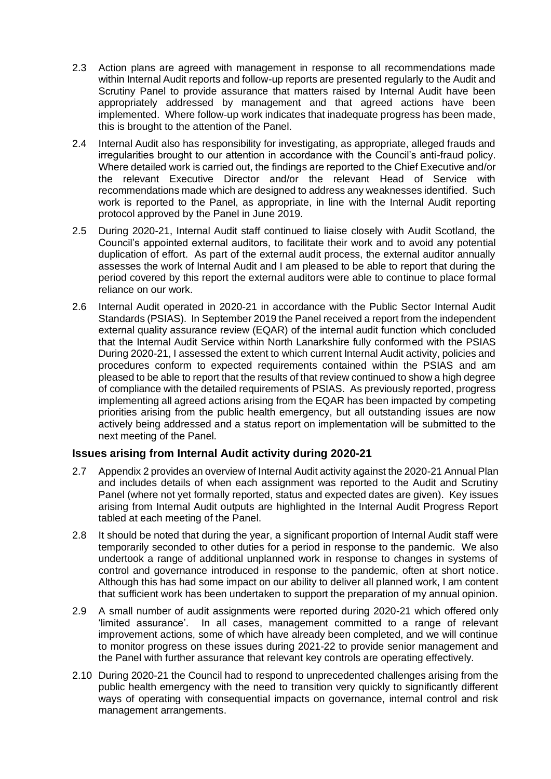- 2.3 Action plans are agreed with management in response to all recommendations made within Internal Audit reports and follow-up reports are presented regularly to the Audit and Scrutiny Panel to provide assurance that matters raised by Internal Audit have been appropriately addressed by management and that agreed actions have been implemented. Where follow-up work indicates that inadequate progress has been made, this is brought to the attention of the Panel.
- 2.4 Internal Audit also has responsibility for investigating, as appropriate, alleged frauds and irregularities brought to our attention in accordance with the Council's anti-fraud policy. Where detailed work is carried out, the findings are reported to the Chief Executive and/or the relevant Executive Director and/or the relevant Head of Service with recommendations made which are designed to address any weaknesses identified. Such work is reported to the Panel, as appropriate, in line with the Internal Audit reporting protocol approved by the Panel in June 2019.
- 2.5 During 2020-21, Internal Audit staff continued to liaise closely with Audit Scotland, the Council's appointed external auditors, to facilitate their work and to avoid any potential duplication of effort. As part of the external audit process, the external auditor annually assesses the work of Internal Audit and I am pleased to be able to report that during the period covered by this report the external auditors were able to continue to place formal reliance on our work.
- 2.6 Internal Audit operated in 2020-21 in accordance with the Public Sector Internal Audit Standards (PSIAS). In September 2019 the Panel received a report from the independent external quality assurance review (EQAR) of the internal audit function which concluded that the Internal Audit Service within North Lanarkshire fully conformed with the PSIAS During 2020-21, I assessed the extent to which current Internal Audit activity, policies and procedures conform to expected requirements contained within the PSIAS and am pleased to be able to report that the results of that review continued to show a high degree of compliance with the detailed requirements of PSIAS. As previously reported, progress implementing all agreed actions arising from the EQAR has been impacted by competing priorities arising from the public health emergency, but all outstanding issues are now actively being addressed and a status report on implementation will be submitted to the next meeting of the Panel.

## **Issues arising from Internal Audit activity during 2020-21**

- 2.7 Appendix 2 provides an overview of Internal Audit activity against the 2020-21 Annual Plan and includes details of when each assignment was reported to the Audit and Scrutiny Panel (where not yet formally reported, status and expected dates are given). Key issues arising from Internal Audit outputs are highlighted in the Internal Audit Progress Report tabled at each meeting of the Panel.
- 2.8 It should be noted that during the year, a significant proportion of Internal Audit staff were temporarily seconded to other duties for a period in response to the pandemic. We also undertook a range of additional unplanned work in response to changes in systems of control and governance introduced in response to the pandemic, often at short notice. Although this has had some impact on our ability to deliver all planned work, I am content that sufficient work has been undertaken to support the preparation of my annual opinion.
- 2.9 A small number of audit assignments were reported during 2020-21 which offered only 'limited assurance'. In all cases, management committed to a range of relevant improvement actions, some of which have already been completed, and we will continue to monitor progress on these issues during 2021-22 to provide senior management and the Panel with further assurance that relevant key controls are operating effectively.
- 2.10 During 2020-21 the Council had to respond to unprecedented challenges arising from the public health emergency with the need to transition very quickly to significantly different ways of operating with consequential impacts on governance, internal control and risk management arrangements.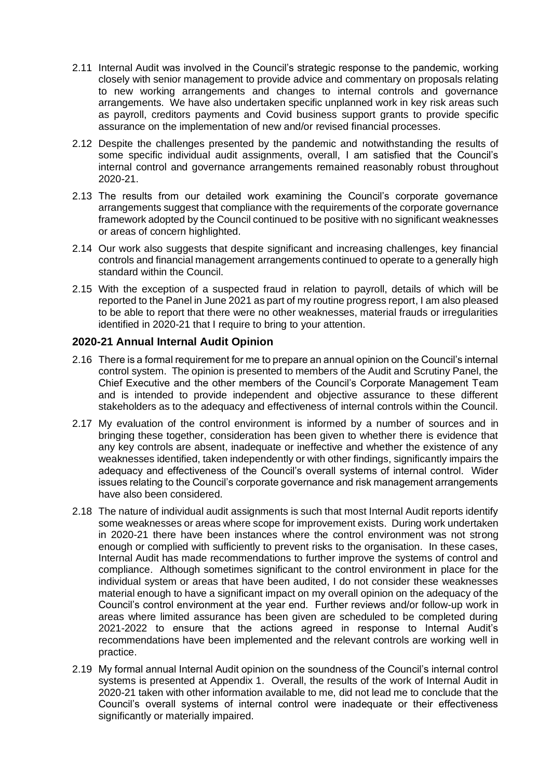- 2.11 Internal Audit was involved in the Council's strategic response to the pandemic, working closely with senior management to provide advice and commentary on proposals relating to new working arrangements and changes to internal controls and governance arrangements. We have also undertaken specific unplanned work in key risk areas such as payroll, creditors payments and Covid business support grants to provide specific assurance on the implementation of new and/or revised financial processes.
- 2.12 Despite the challenges presented by the pandemic and notwithstanding the results of some specific individual audit assignments, overall, I am satisfied that the Council's internal control and governance arrangements remained reasonably robust throughout 2020-21.
- 2.13 The results from our detailed work examining the Council's corporate governance arrangements suggest that compliance with the requirements of the corporate governance framework adopted by the Council continued to be positive with no significant weaknesses or areas of concern highlighted.
- 2.14 Our work also suggests that despite significant and increasing challenges, key financial controls and financial management arrangements continued to operate to a generally high standard within the Council.
- 2.15 With the exception of a suspected fraud in relation to payroll, details of which will be reported to the Panel in June 2021 as part of my routine progress report, I am also pleased to be able to report that there were no other weaknesses, material frauds or irregularities identified in 2020-21 that I require to bring to your attention.

## **2020-21 Annual Internal Audit Opinion**

- 2.16 There is a formal requirement for me to prepare an annual opinion on the Council's internal control system. The opinion is presented to members of the Audit and Scrutiny Panel, the Chief Executive and the other members of the Council's Corporate Management Team and is intended to provide independent and objective assurance to these different stakeholders as to the adequacy and effectiveness of internal controls within the Council.
- 2.17 My evaluation of the control environment is informed by a number of sources and in bringing these together, consideration has been given to whether there is evidence that any key controls are absent, inadequate or ineffective and whether the existence of any weaknesses identified, taken independently or with other findings, significantly impairs the adequacy and effectiveness of the Council's overall systems of internal control. Wider issues relating to the Council's corporate governance and risk management arrangements have also been considered.
- 2.18 The nature of individual audit assignments is such that most Internal Audit reports identify some weaknesses or areas where scope for improvement exists. During work undertaken in 2020-21 there have been instances where the control environment was not strong enough or complied with sufficiently to prevent risks to the organisation. In these cases, Internal Audit has made recommendations to further improve the systems of control and compliance. Although sometimes significant to the control environment in place for the individual system or areas that have been audited, I do not consider these weaknesses material enough to have a significant impact on my overall opinion on the adequacy of the Council's control environment at the year end. Further reviews and/or follow-up work in areas where limited assurance has been given are scheduled to be completed during 2021-2022 to ensure that the actions agreed in response to Internal Audit's recommendations have been implemented and the relevant controls are working well in practice.
- 2.19 My formal annual Internal Audit opinion on the soundness of the Council's internal control systems is presented at Appendix 1. Overall, the results of the work of Internal Audit in 2020-21 taken with other information available to me, did not lead me to conclude that the Council's overall systems of internal control were inadequate or their effectiveness significantly or materially impaired.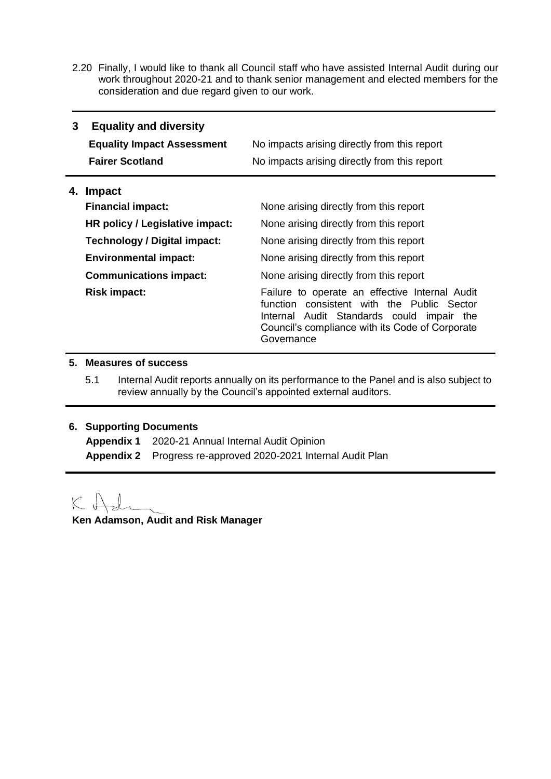2.20 Finally, I would like to thank all Council staff who have assisted Internal Audit during our work throughout 2020-21 and to thank senior management and elected members for the consideration and due regard given to our work.

| 3  | <b>Equality and diversity</b><br><b>Equality Impact Assessment</b><br><b>Fairer Scotland</b> | No impacts arising directly from this report<br>No impacts arising directly from this report                                                                                                               |
|----|----------------------------------------------------------------------------------------------|------------------------------------------------------------------------------------------------------------------------------------------------------------------------------------------------------------|
| 4. | Impact                                                                                       |                                                                                                                                                                                                            |
|    | <b>Financial impact:</b>                                                                     | None arising directly from this report                                                                                                                                                                     |
|    | HR policy / Legislative impact:                                                              | None arising directly from this report                                                                                                                                                                     |
|    | Technology / Digital impact:                                                                 | None arising directly from this report                                                                                                                                                                     |
|    | <b>Environmental impact:</b>                                                                 | None arising directly from this report                                                                                                                                                                     |
|    | <b>Communications impact:</b>                                                                | None arising directly from this report                                                                                                                                                                     |
|    | <b>Risk impact:</b>                                                                          | Failure to operate an effective Internal Audit<br>function consistent with the Public Sector<br>Internal Audit Standards could impair the<br>Council's compliance with its Code of Corporate<br>Governance |

## **5. Measures of success**

5.1 Internal Audit reports annually on its performance to the Panel and is also subject to review annually by the Council's appointed external auditors.

## **6. Supporting Documents**

| Appendix 1 2020-21 Annual Internal Audit Opinion              |
|---------------------------------------------------------------|
| Appendix 2 Progress re-approved 2020-2021 Internal Audit Plan |

KA

**Ken Adamson, Audit and Risk Manager**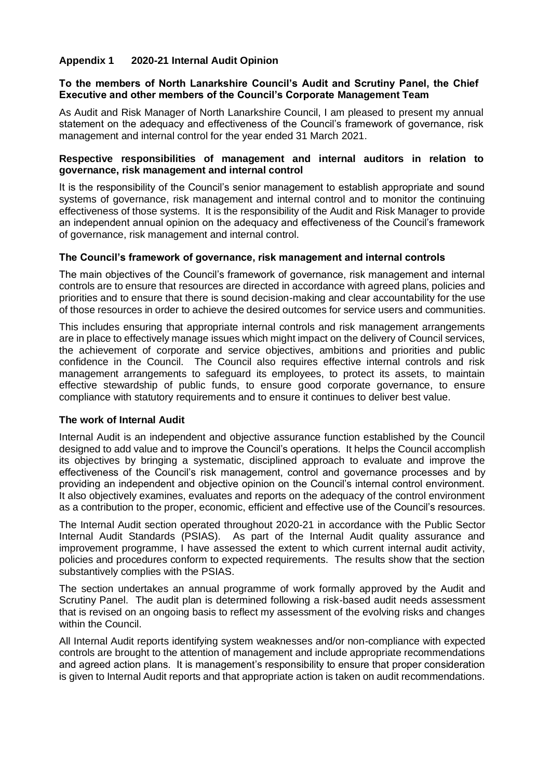#### **Appendix 1 2020-21 Internal Audit Opinion**

#### **To the members of North Lanarkshire Council's Audit and Scrutiny Panel, the Chief Executive and other members of the Council's Corporate Management Team**

As Audit and Risk Manager of North Lanarkshire Council, I am pleased to present my annual statement on the adequacy and effectiveness of the Council's framework of governance, risk management and internal control for the year ended 31 March 2021.

#### **Respective responsibilities of management and internal auditors in relation to governance, risk management and internal control**

It is the responsibility of the Council's senior management to establish appropriate and sound systems of governance, risk management and internal control and to monitor the continuing effectiveness of those systems. It is the responsibility of the Audit and Risk Manager to provide an independent annual opinion on the adequacy and effectiveness of the Council's framework of governance, risk management and internal control.

#### **The Council's framework of governance, risk management and internal controls**

The main objectives of the Council's framework of governance, risk management and internal controls are to ensure that resources are directed in accordance with agreed plans, policies and priorities and to ensure that there is sound decision-making and clear accountability for the use of those resources in order to achieve the desired outcomes for service users and communities.

This includes ensuring that appropriate internal controls and risk management arrangements are in place to effectively manage issues which might impact on the delivery of Council services, the achievement of corporate and service objectives, ambitions and priorities and public confidence in the Council. The Council also requires effective internal controls and risk management arrangements to safeguard its employees, to protect its assets, to maintain effective stewardship of public funds, to ensure good corporate governance, to ensure compliance with statutory requirements and to ensure it continues to deliver best value.

#### **The work of Internal Audit**

Internal Audit is an independent and objective assurance function established by the Council designed to add value and to improve the Council's operations. It helps the Council accomplish its objectives by bringing a systematic, disciplined approach to evaluate and improve the effectiveness of the Council's risk management, control and governance processes and by providing an independent and objective opinion on the Council's internal control environment. It also objectively examines, evaluates and reports on the adequacy of the control environment as a contribution to the proper, economic, efficient and effective use of the Council's resources.

The Internal Audit section operated throughout 2020-21 in accordance with the Public Sector Internal Audit Standards (PSIAS). As part of the Internal Audit quality assurance and improvement programme, I have assessed the extent to which current internal audit activity, policies and procedures conform to expected requirements. The results show that the section substantively complies with the PSIAS.

The section undertakes an annual programme of work formally approved by the Audit and Scrutiny Panel. The audit plan is determined following a risk-based audit needs assessment that is revised on an ongoing basis to reflect my assessment of the evolving risks and changes within the Council.

All Internal Audit reports identifying system weaknesses and/or non-compliance with expected controls are brought to the attention of management and include appropriate recommendations and agreed action plans. It is management's responsibility to ensure that proper consideration is given to Internal Audit reports and that appropriate action is taken on audit recommendations.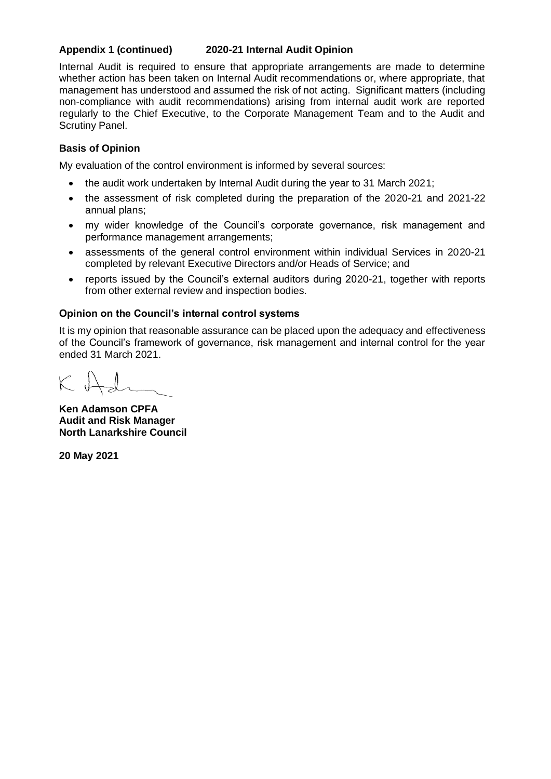#### **Appendix 1 (continued) 2020-21 Internal Audit Opinion**

Internal Audit is required to ensure that appropriate arrangements are made to determine whether action has been taken on Internal Audit recommendations or, where appropriate, that management has understood and assumed the risk of not acting. Significant matters (including non-compliance with audit recommendations) arising from internal audit work are reported regularly to the Chief Executive, to the Corporate Management Team and to the Audit and Scrutiny Panel.

#### **Basis of Opinion**

My evaluation of the control environment is informed by several sources:

- the audit work undertaken by Internal Audit during the year to 31 March 2021;
- the assessment of risk completed during the preparation of the 2020-21 and 2021-22 annual plans;
- my wider knowledge of the Council's corporate governance, risk management and performance management arrangements;
- assessments of the general control environment within individual Services in 2020-21 completed by relevant Executive Directors and/or Heads of Service; and
- reports issued by the Council's external auditors during 2020-21, together with reports from other external review and inspection bodies.

#### **Opinion on the Council's internal control systems**

It is my opinion that reasonable assurance can be placed upon the adequacy and effectiveness of the Council's framework of governance, risk management and internal control for the year ended 31 March 2021.

**Ken Adamson CPFA Audit and Risk Manager North Lanarkshire Council**

**20 May 2021**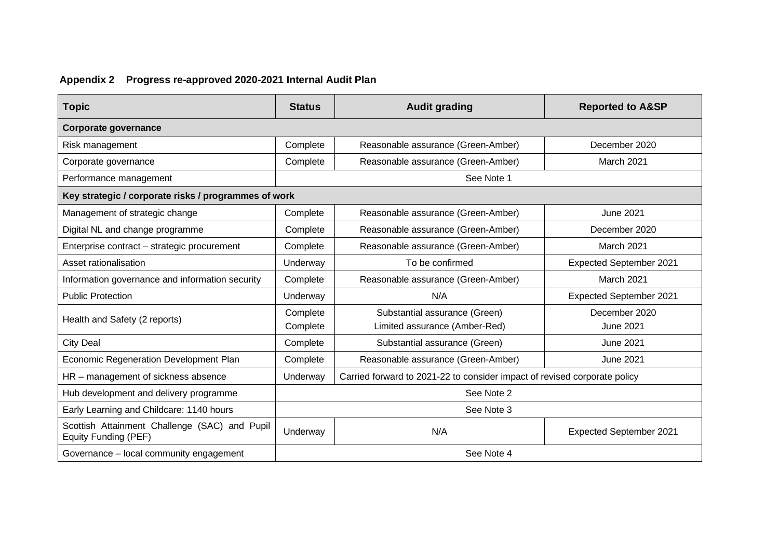## **Appendix 2 Progress re-approved 2020-2021 Internal Audit Plan**

| <b>Topic</b>                                                          | <b>Status</b>        | <b>Audit grading</b>                                                      | <b>Reported to A&amp;SP</b>       |  |  |
|-----------------------------------------------------------------------|----------------------|---------------------------------------------------------------------------|-----------------------------------|--|--|
| Corporate governance                                                  |                      |                                                                           |                                   |  |  |
| Risk management                                                       | Complete             | Reasonable assurance (Green-Amber)                                        | December 2020                     |  |  |
| Corporate governance                                                  | Complete             | Reasonable assurance (Green-Amber)                                        | March 2021                        |  |  |
| Performance management                                                |                      | See Note 1                                                                |                                   |  |  |
| Key strategic / corporate risks / programmes of work                  |                      |                                                                           |                                   |  |  |
| Management of strategic change                                        | Complete             | Reasonable assurance (Green-Amber)                                        | <b>June 2021</b>                  |  |  |
| Digital NL and change programme                                       | Complete             | Reasonable assurance (Green-Amber)                                        | December 2020                     |  |  |
| Enterprise contract - strategic procurement                           | Complete             | Reasonable assurance (Green-Amber)                                        | March 2021                        |  |  |
| Asset rationalisation                                                 | Underway             | To be confirmed                                                           | <b>Expected September 2021</b>    |  |  |
| Information governance and information security                       | Complete             | Reasonable assurance (Green-Amber)                                        | March 2021                        |  |  |
| <b>Public Protection</b>                                              | Underway             | N/A                                                                       | <b>Expected September 2021</b>    |  |  |
| Health and Safety (2 reports)                                         | Complete<br>Complete | Substantial assurance (Green)<br>Limited assurance (Amber-Red)            | December 2020<br><b>June 2021</b> |  |  |
| <b>City Deal</b>                                                      | Complete             | Substantial assurance (Green)                                             | <b>June 2021</b>                  |  |  |
| Economic Regeneration Development Plan                                | Complete             | Reasonable assurance (Green-Amber)                                        | <b>June 2021</b>                  |  |  |
| HR - management of sickness absence                                   | Underway             | Carried forward to 2021-22 to consider impact of revised corporate policy |                                   |  |  |
| Hub development and delivery programme                                | See Note 2           |                                                                           |                                   |  |  |
| Early Learning and Childcare: 1140 hours                              |                      | See Note 3                                                                |                                   |  |  |
| Scottish Attainment Challenge (SAC) and Pupil<br>Equity Funding (PEF) | Underway             | N/A                                                                       | <b>Expected September 2021</b>    |  |  |
| Governance - local community engagement                               | See Note 4           |                                                                           |                                   |  |  |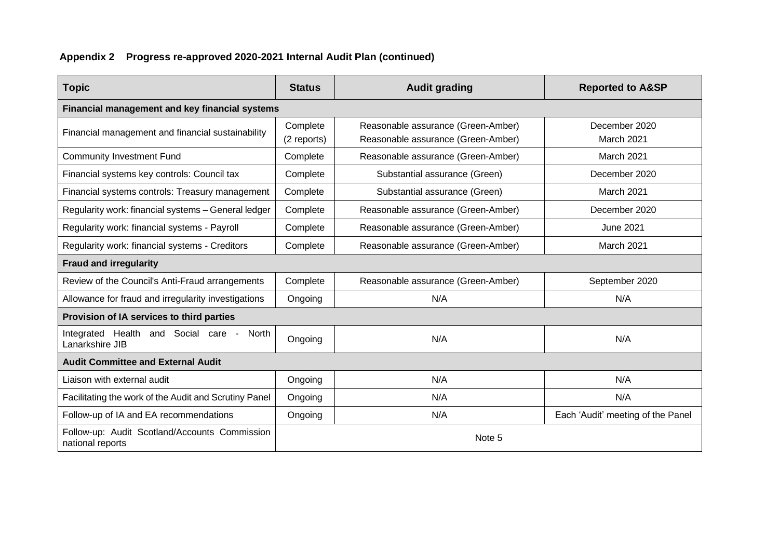## **Appendix 2 Progress re-approved 2020-2021 Internal Audit Plan (continued)**

| <b>Topic</b>                                                      | <b>Status</b>           | <b>Audit grading</b>                                                     | <b>Reported to A&amp;SP</b>       |
|-------------------------------------------------------------------|-------------------------|--------------------------------------------------------------------------|-----------------------------------|
| Financial management and key financial systems                    |                         |                                                                          |                                   |
| Financial management and financial sustainability                 | Complete<br>(2 reports) | Reasonable assurance (Green-Amber)<br>Reasonable assurance (Green-Amber) | December 2020<br>March 2021       |
| <b>Community Investment Fund</b>                                  | Complete                | Reasonable assurance (Green-Amber)                                       | March 2021                        |
| Financial systems key controls: Council tax                       | Complete                | Substantial assurance (Green)                                            | December 2020                     |
| Financial systems controls: Treasury management                   | Complete                | Substantial assurance (Green)                                            | March 2021                        |
| Regularity work: financial systems - General ledger               | Complete                | Reasonable assurance (Green-Amber)                                       | December 2020                     |
| Regularity work: financial systems - Payroll                      | Complete                | Reasonable assurance (Green-Amber)                                       | <b>June 2021</b>                  |
| Regularity work: financial systems - Creditors                    | Complete                | Reasonable assurance (Green-Amber)                                       | March 2021                        |
| <b>Fraud and irregularity</b>                                     |                         |                                                                          |                                   |
| Review of the Council's Anti-Fraud arrangements                   | Complete                | Reasonable assurance (Green-Amber)                                       | September 2020                    |
| Allowance for fraud and irregularity investigations               | Ongoing                 | N/A                                                                      | N/A                               |
| Provision of IA services to third parties                         |                         |                                                                          |                                   |
| Integrated Health and Social care - North<br>Lanarkshire JIB      | Ongoing                 | N/A                                                                      | N/A                               |
| <b>Audit Committee and External Audit</b>                         |                         |                                                                          |                                   |
| Liaison with external audit                                       | Ongoing                 | N/A                                                                      | N/A                               |
| Facilitating the work of the Audit and Scrutiny Panel             | Ongoing                 | N/A                                                                      | N/A                               |
| Follow-up of IA and EA recommendations                            | Ongoing                 | N/A                                                                      | Each 'Audit' meeting of the Panel |
| Follow-up: Audit Scotland/Accounts Commission<br>national reports | Note 5                  |                                                                          |                                   |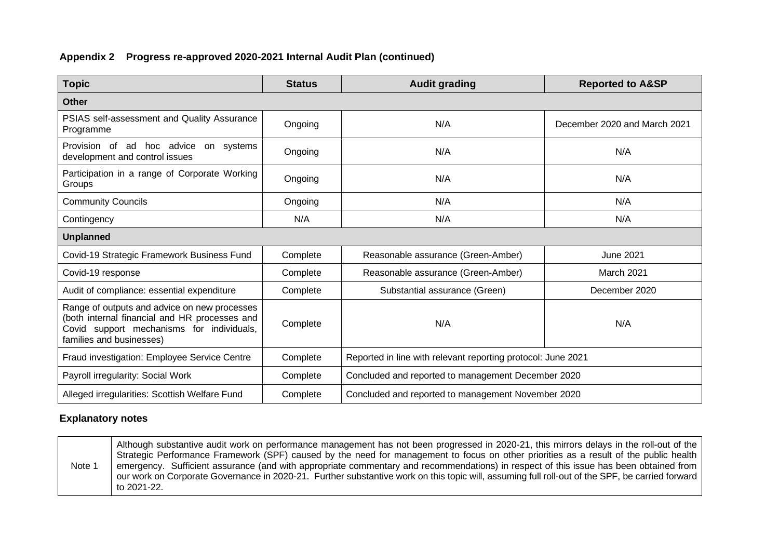#### **Appendix 2 Progress re-approved 2020-2021 Internal Audit Plan (continued)**

| <b>Topic</b>                                                                                                                                                           | <b>Status</b> | <b>Audit grading</b>                                         | <b>Reported to A&amp;SP</b>  |
|------------------------------------------------------------------------------------------------------------------------------------------------------------------------|---------------|--------------------------------------------------------------|------------------------------|
| <b>Other</b>                                                                                                                                                           |               |                                                              |                              |
| PSIAS self-assessment and Quality Assurance<br>Programme                                                                                                               | Ongoing       | N/A                                                          | December 2020 and March 2021 |
| Provision of ad hoc advice on systems<br>development and control issues                                                                                                | Ongoing       | N/A                                                          | N/A                          |
| Participation in a range of Corporate Working<br>Groups                                                                                                                | Ongoing       | N/A                                                          | N/A                          |
| <b>Community Councils</b>                                                                                                                                              | Ongoing       | N/A                                                          | N/A                          |
| Contingency                                                                                                                                                            | N/A           | N/A                                                          | N/A                          |
| <b>Unplanned</b>                                                                                                                                                       |               |                                                              |                              |
| Covid-19 Strategic Framework Business Fund                                                                                                                             | Complete      | Reasonable assurance (Green-Amber)                           | <b>June 2021</b>             |
| Covid-19 response                                                                                                                                                      | Complete      | Reasonable assurance (Green-Amber)                           | March 2021                   |
| Audit of compliance: essential expenditure                                                                                                                             | Complete      | Substantial assurance (Green)                                | December 2020                |
| Range of outputs and advice on new processes<br>(both internal financial and HR processes and<br>Covid support mechanisms for individuals,<br>families and businesses) | Complete      | N/A                                                          | N/A                          |
| Fraud investigation: Employee Service Centre                                                                                                                           | Complete      | Reported in line with relevant reporting protocol: June 2021 |                              |
| Payroll irregularity: Social Work<br>Complete                                                                                                                          |               | Concluded and reported to management December 2020           |                              |
| Alleged irregularities: Scottish Welfare Fund                                                                                                                          | Complete      | Concluded and reported to management November 2020           |                              |

#### **Explanatory notes**

Note 1 Although substantive audit work on performance management has not been progressed in 2020-21, this mirrors delays in the roll-out of the Strategic Performance Framework (SPF) caused by the need for management to focus on other priorities as a result of the public health emergency. Sufficient assurance (and with appropriate commentary and recommendations) in respect of this issue has been obtained from our work on Corporate Governance in 2020-21. Further substantive work on this topic will, assuming full roll-out of the SPF, be carried forward to 2021-22.